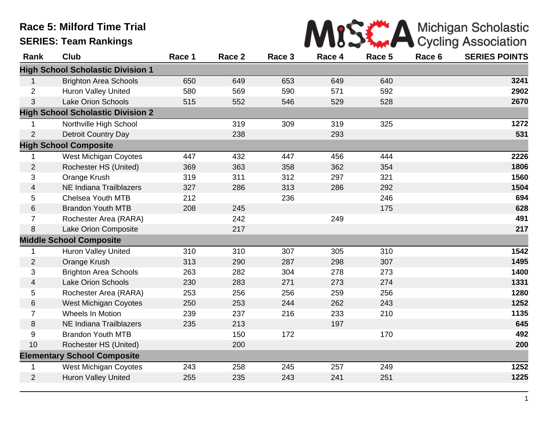## **Race 5: Milford Time Trial SERIES: Team Rankings**

|  |  | MISS A Michigan Scholastic |
|--|--|----------------------------|
|  |  |                            |

| Rank           | <b>Club</b>                              | Race 1 | Race 2 | Race 3 | Race 4 | Race 5 | Race 6 | <b>SERIES POINTS</b> |
|----------------|------------------------------------------|--------|--------|--------|--------|--------|--------|----------------------|
|                | <b>High School Scholastic Division 1</b> |        |        |        |        |        |        |                      |
| 1              | <b>Brighton Area Schools</b>             | 650    | 649    | 653    | 649    | 640    |        | 3241                 |
| $\overline{2}$ | <b>Huron Valley United</b>               | 580    | 569    | 590    | 571    | 592    |        | 2902                 |
| 3              | <b>Lake Orion Schools</b>                | 515    | 552    | 546    | 529    | 528    |        | 2670                 |
|                | <b>High School Scholastic Division 2</b> |        |        |        |        |        |        |                      |
|                | Northville High School                   |        | 319    | 309    | 319    | 325    |        | 1272                 |
| $\overline{2}$ | <b>Detroit Country Day</b>               |        | 238    |        | 293    |        |        | 531                  |
|                | <b>High School Composite</b>             |        |        |        |        |        |        |                      |
|                | <b>West Michigan Coyotes</b>             | 447    | 432    | 447    | 456    | 444    |        | 2226                 |
| $\overline{2}$ | Rochester HS (United)                    | 369    | 363    | 358    | 362    | 354    |        | 1806                 |
| 3              | Orange Krush                             | 319    | 311    | 312    | 297    | 321    |        | 1560                 |
| 4              | <b>NE Indiana Trailblazers</b>           | 327    | 286    | 313    | 286    | 292    |        | 1504                 |
| 5              | <b>Chelsea Youth MTB</b>                 | 212    |        | 236    |        | 246    |        | 694                  |
| 6              | <b>Brandon Youth MTB</b>                 | 208    | 245    |        |        | 175    |        | 628                  |
| $\overline{7}$ | Rochester Area (RARA)                    |        | 242    |        | 249    |        |        | 491                  |
| 8              | Lake Orion Composite                     |        | 217    |        |        |        |        | 217                  |
|                | <b>Middle School Composite</b>           |        |        |        |        |        |        |                      |
| $\mathbf 1$    | <b>Huron Valley United</b>               | 310    | 310    | 307    | 305    | 310    |        | 1542                 |
| $\overline{2}$ | Orange Krush                             | 313    | 290    | 287    | 298    | 307    |        | 1495                 |
| 3              | <b>Brighton Area Schools</b>             | 263    | 282    | 304    | 278    | 273    |        | 1400                 |
| $\overline{4}$ | <b>Lake Orion Schools</b>                | 230    | 283    | 271    | 273    | 274    |        | 1331                 |
| 5              | Rochester Area (RARA)                    | 253    | 256    | 256    | 259    | 256    |        | 1280                 |
| 6              | <b>West Michigan Coyotes</b>             | 250    | 253    | 244    | 262    | 243    |        | 1252                 |
| $\overline{7}$ | Wheels In Motion                         | 239    | 237    | 216    | 233    | 210    |        | 1135                 |
| 8              | <b>NE Indiana Trailblazers</b>           | 235    | 213    |        | 197    |        |        | 645                  |
| 9              | <b>Brandon Youth MTB</b>                 |        | 150    | 172    |        | 170    |        | 492                  |
| 10             | Rochester HS (United)                    |        | 200    |        |        |        |        | 200                  |
|                | <b>Elementary School Composite</b>       |        |        |        |        |        |        |                      |
| 1              | <b>West Michigan Coyotes</b>             | 243    | 258    | 245    | 257    | 249    |        | 1252                 |
| $\overline{2}$ | <b>Huron Valley United</b>               | 255    | 235    | 243    | 241    | 251    |        | 1225                 |
|                |                                          |        |        |        |        |        |        |                      |